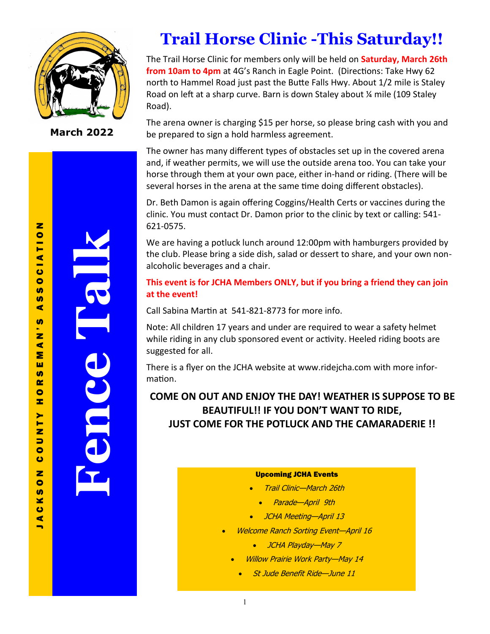

**March 2022**

# **Trail Horse Clinic -This Saturday!!**

The Trail Horse Clinic for members only will be held on **Saturday, March 26th from 10am to 4pm** at 4G's Ranch in Eagle Point. (Directions: Take Hwy 62 north to Hammel Road just past the Butte Falls Hwy. About 1/2 mile is Staley Road on left at a sharp curve. Barn is down Staley about ¼ mile (109 Staley Road).

The arena owner is charging \$15 per horse, so please bring cash with you and be prepared to sign a hold harmless agreement.

The owner has many different types of obstacles set up in the covered arena and, if weather permits, we will use the outside arena too. You can take your horse through them at your own pace, either in-hand or riding. (There will be several horses in the arena at the same time doing different obstacles).

Dr. Beth Damon is again offering Coggins/Health Certs or vaccines during the clinic. You must contact Dr. Damon prior to the clinic by text or calling: 541- 621-0575.

We are having a potluck lunch around 12:00pm with hamburgers provided by the club. Please bring a side dish, salad or dessert to share, and your own nonalcoholic beverages and a chair.

### **This event is for JCHA Members ONLY, but if you bring a friend they can join at the event!**

Call Sabina Martin at 541-821-8773 for more info.

Note: All children 17 years and under are required to wear a safety helmet while riding in any club sponsored event or activity. Heeled riding boots are suggested for all.

There is a flyer on the JCHA website at www.ridejcha.com with more information.

## **COME ON OUT AND ENJOY THE DAY! WEATHER IS SUPPOSE TO BE BEAUTIFUL!! IF YOU DON'T WANT TO RIDE, JUST COME FOR THE POTLUCK AND THE CAMARADERIE !!**

#### Upcoming JCHA Events

- Trail Clinic—March 26th
	- Parade—April 9th
- JCHA Meeting-April 13
- Welcome Ranch Sorting Event—April 16
	- JCHA Playday—May 7
	- Willow Prairie Work Party—May 14
		- St Jude Benefit Ride—June 11

 $\blacksquare$ 

**Fence Talk**

1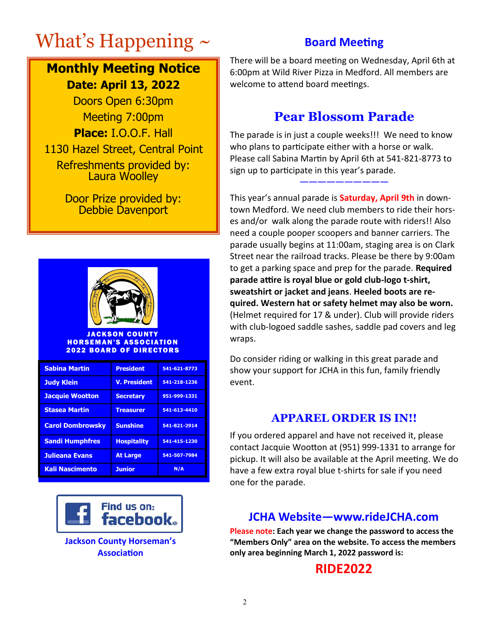# What's Happening  $\sim$

# **Monthly Meeting Notice Date: April 13, 2022**

Doors Open 6:30pm Meeting 7:00pm **Place:** I.O.O.F. Hall 1130 Hazel Street, Central Point Refreshments provided by: Laura Woolley

> Door Prize provided by: Debbie Davenport



**JACKSON COUNTY HORSEMAN'S ASSOCIATION** 2022 BOARD OF DIRECTORS

| <b>Sabina Martin</b>    | <b>President</b>    | 541-621-8773 |
|-------------------------|---------------------|--------------|
| <b>Judy Klein</b>       | <b>V. President</b> | 541-218-1236 |
| <b>Jacquie Wootton</b>  | <b>Secretary</b>    | 951-999-1331 |
| <b>Stasea Martin</b>    | <b>Treasurer</b>    | 541-613-4410 |
| <b>Carol Dombrowsky</b> | <b>Sunshine</b>     | 541-821-2914 |
| <b>Sandi Humphfres</b>  | <b>Hospitality</b>  | 541-415-1230 |
| <b>Julieana Evans</b>   | <b>At Large</b>     | 541-507-7984 |
| <b>Kali Nascimento</b>  | <b>Junior</b>       | N/A          |



**Jackson County Horseman's Association**

## **Board Meeting**

There will be a board meeting on Wednesday, April 6th at 6:00pm at Wild River Pizza in Medford. All members are welcome to attend board meetings.

# **Pear Blossom Parade**

The parade is in just a couple weeks!!! We need to know who plans to participate either with a horse or walk. Please call Sabina Martin by April 6th at 541-821-8773 to sign up to participate in this year's parade. **——————————**

This year's annual parade is **Saturday, April 9th** in downtown Medford. We need club members to ride their horses and/or walk along the parade route with riders!! Also need a couple pooper scoopers and banner carriers. The parade usually begins at 11:00am, staging area is on Clark Street near the railroad tracks. Please be there by 9:00am to get a parking space and prep for the parade. **Required parade attire is royal blue or gold club-logo t-shirt, sweatshirt or jacket and jeans**. **Heeled boots are required. Western hat or safety helmet may also be worn.**  (Helmet required for 17 & under). Club will provide riders with club-logoed saddle sashes, saddle pad covers and leg wraps.

Do consider riding or walking in this great parade and show your support for JCHA in this fun, family friendly event.

## **APPAREL ORDER IS IN!!**

If you ordered apparel and have not received it, please contact Jacquie Wootton at (951) 999-1331 to arrange for pickup. It will also be available at the April meeting. We do have a few extra royal blue t-shirts for sale if you need one for the parade.

## **JCHA Website—www.rideJCHA.com**

**Please note: Each year we change the password to access the "Members Only" area on the website. To access the members only area beginning March 1, 2022 password is:** 

## **RIDE2022**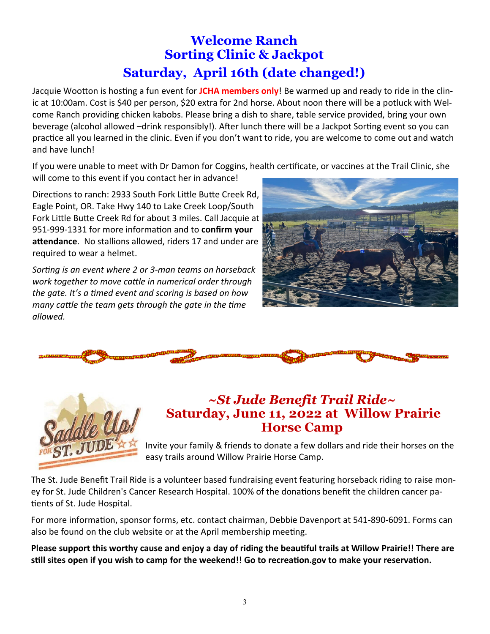# **Welcome Ranch Sorting Clinic & Jackpot Saturday, April 16th (date changed!)**

Jacquie Wootton is hosting a fun event for **JCHA members only**! Be warmed up and ready to ride in the clinic at 10:00am. Cost is \$40 per person, \$20 extra for 2nd horse. About noon there will be a potluck with Welcome Ranch providing chicken kabobs. Please bring a dish to share, table service provided, bring your own beverage (alcohol allowed –drink responsibly!). After lunch there will be a Jackpot Sorting event so you can practice all you learned in the clinic. Even if you don't want to ride, you are welcome to come out and watch and have lunch!

If you were unable to meet with Dr Damon for Coggins, health certificate, or vaccines at the Trail Clinic, she will come to this event if you contact her in advance!

Directions to ranch: 2933 South Fork Little Butte Creek Rd, Eagle Point, OR. Take Hwy 140 to Lake Creek Loop/South Fork Little Butte Creek Rd for about 3 miles. Call Jacquie at 951-999-1331 for more information and to **confirm your attendance**. No stallions allowed, riders 17 and under are required to wear a helmet.

*Sorting is an event where 2 or 3-man teams on horseback work together to move cattle in numerical order through the gate. It's a timed event and scoring is based on how many cattle the team gets through the gate in the time allowed.* 







## *~St Jude Benefit Trail Ride~* **Saturday, June 11, 2022 at Willow Prairie Horse Camp**

Invite your family & friends to donate a few dollars and ride their horses on the easy trails around Willow Prairie Horse Camp.

The St. Jude Benefit Trail Ride is a volunteer based fundraising event featuring horseback riding to raise money for St. Jude Children's Cancer Research Hospital. 100% of the donations benefit the children cancer patients of St. Jude Hospital.

For more information, sponsor forms, etc. contact chairman, Debbie Davenport at 541-890-6091. Forms can also be found on the club website or at the April membership meeting.

**Please support this worthy cause and enjoy a day of riding the beautiful trails at Willow Prairie!! There are still sites open if you wish to camp for the weekend!! Go to recreation.gov to make your reservation.**